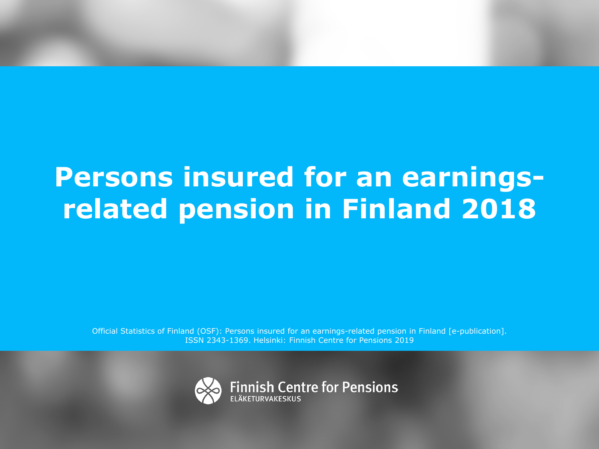# **Persons insured for an earningsrelated pension in Finland 2018**

Official Statistics of Finland (OSF): Persons insured for an earnings-related pension in Finland [e-publication]. ISSN 2343-1369. Helsinki: Finnish Centre for Pensions 2019

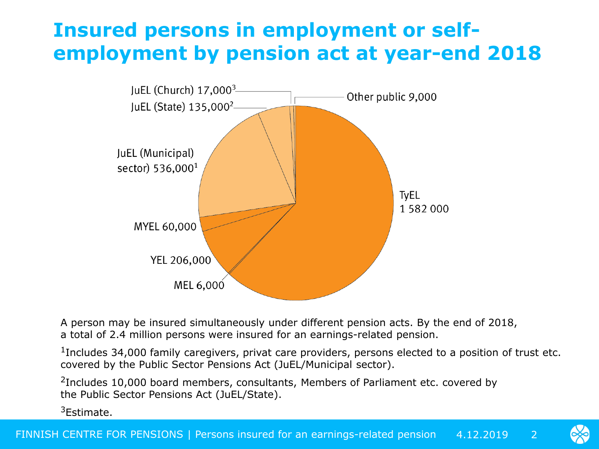## **Insured persons in employment or selfemployment by pension act at year-end 2018**



A person may be insured simultaneously under different pension acts. By the end of 2018, a total of 2.4 million persons were insured for an earnings-related pension.

<sup>1</sup>Includes 34,000 family caregivers, privat care providers, persons elected to a position of trust etc. covered by the Public Sector Pensions Act (JuEL/Municipal sector).

<sup>2</sup>Includes 10,000 board members, consultants, Members of Parliament etc. covered by the Public Sector Pensions Act (JuEL/State).

3Estimate.

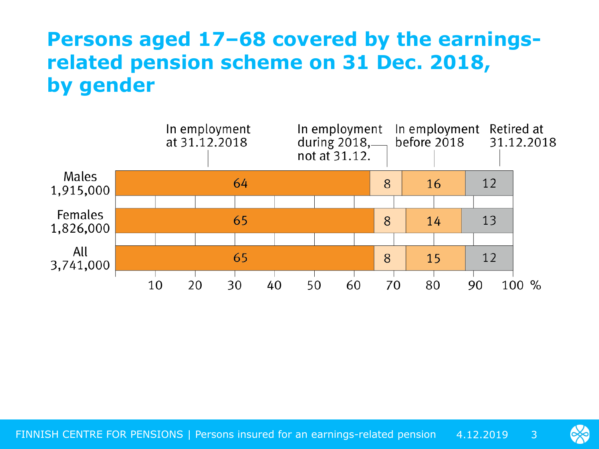## **Persons aged 17–68 covered by the earningsrelated pension scheme on 31 Dec. 2018, by gender**



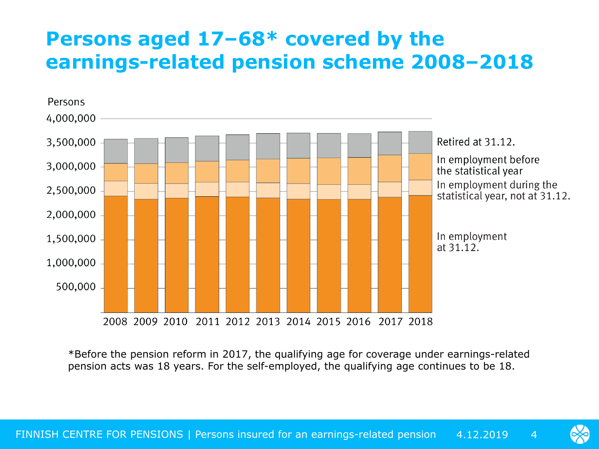#### **Persons aged 17–68\* covered by the earnings-related pension scheme 2008–2018**



\*Before the pension reform in 2017, the qualifying age for coverage under earnings-related pension acts was 18 years. For the self-employed, the qualifying age continues to be 18.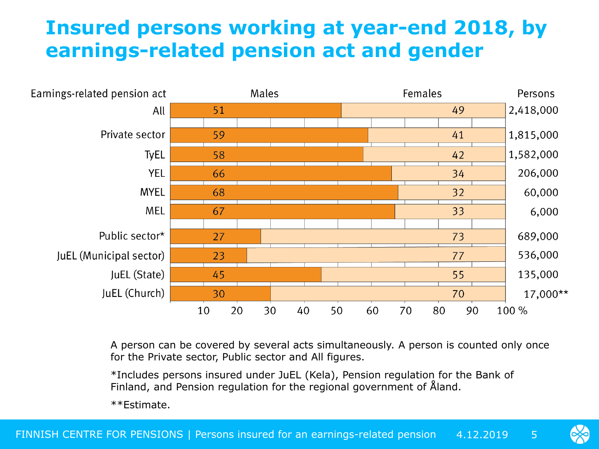#### **Insured persons working at year-end 2018, by earnings-related pension act and gender**



A person can be covered by several acts simultaneously. A person is counted only once for the Private sector, Public sector and All figures.

\*Includes persons insured under JuEL (Kela), Pension regulation for the Bank of Finland, and Pension regulation for the regional government of Åland.

\*\*Estimate.

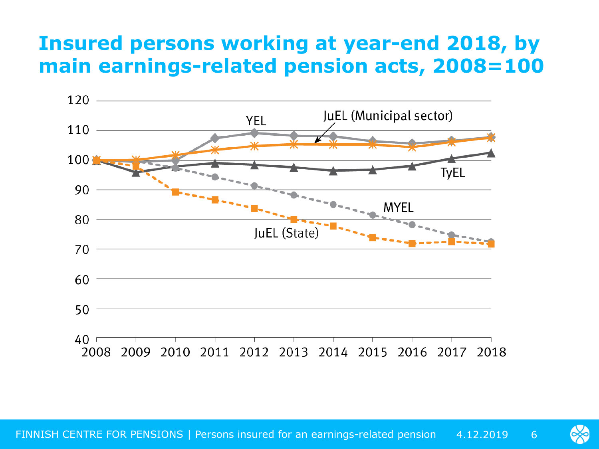#### **Insured persons working at year-end 2018, by main earnings-related pension acts, 2008=100**



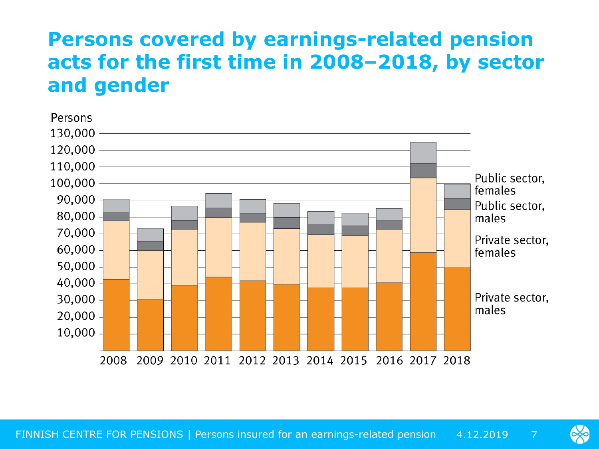## **Persons covered by earnings-related pension acts for the first time in 2008–2018, by sector and gender**



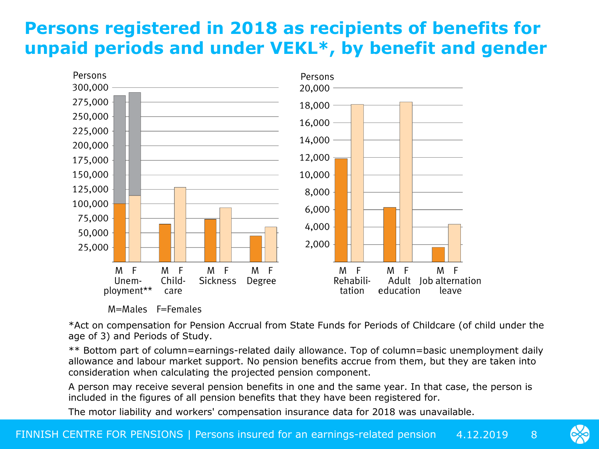#### **Persons registered in 2018 as recipients of benefits for unpaid periods and under VEKL\*, by benefit and gender**



M=Males F=Females

\*Act on compensation for Pension Accrual from State Funds for Periods of Childcare (of child under the age of 3) and Periods of Study.

\*\* Bottom part of column=earnings-related daily allowance. Top of column=basic unemployment daily allowance and labour market support. No pension benefits accrue from them, but they are taken into consideration when calculating the projected pension component.

A person may receive several pension benefits in one and the same year. In that case, the person is included in the figures of all pension benefits that they have been registered for.

The motor liability and workers' compensation insurance data for 2018 was unavailable.

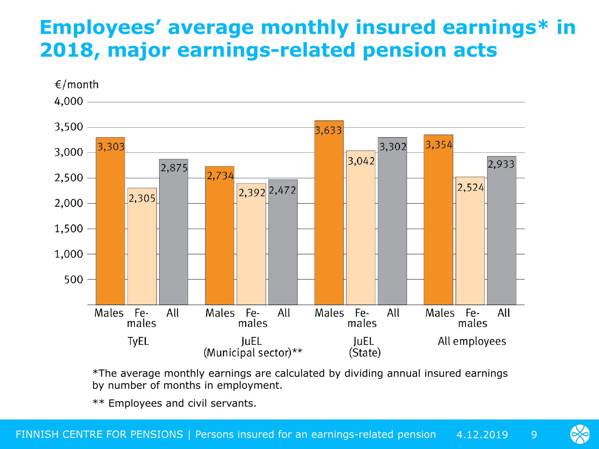#### **Employees' average monthly insured earnings\* in 2018, major earnings-related pension acts**



\*The average monthly earnings are calculated by dividing annual insured earnings by number of months in employment.

\*\* Employees and civil servants.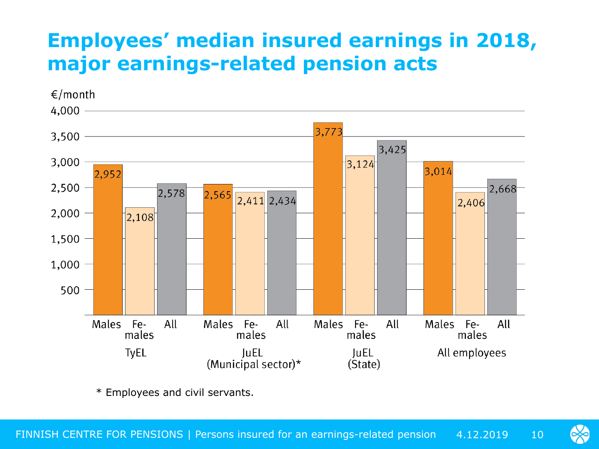# **Employees' median insured earnings in 2018, major earnings-related pension acts**



\* Employees and civil servants.